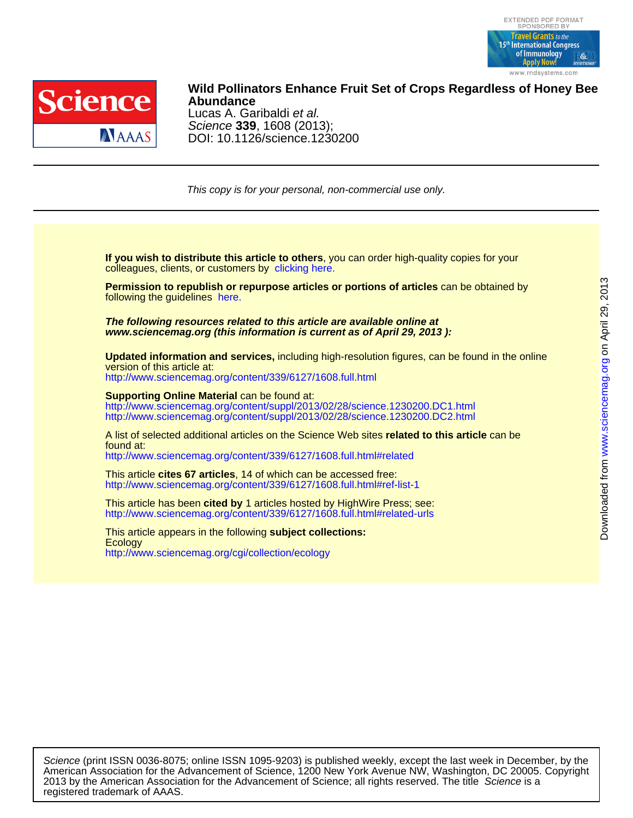



DOI: 10.1126/science.1230200 Science **339**, 1608 (2013); Lucas A. Garibaldi et al. **Abundance Wild Pollinators Enhance Fruit Set of Crops Regardless of Honey Bee**

This copy is for your personal, non-commercial use only.

colleagues, clients, or customers by [clicking here.](http://www.sciencemag.org/about/permissions.dtl) **If you wish to distribute this article to others**, you can order high-quality copies for your

following the guidelines [here.](http://www.sciencemag.org/about/permissions.dtl) **Permission to republish or repurpose articles or portions of articles** can be obtained by

**www.sciencemag.org (this information is current as of April 29, 2013 ): The following resources related to this article are available online at**

version of this article at: **Updated information and services,** including high-resolution figures, can be found in the online

<http://www.sciencemag.org/content/339/6127/1608.full.html>

http://www.sciencemag.org/content/suppl/2013/02/28/science.1230200.DC2.html http://www.sciencemag.org/content/suppl/2013/02/28/science.1230200.DC1.html **Supporting Online Material** can be found at:

<http://www.sciencemag.org/content/339/6127/1608.full.html#related> found at: A list of selected additional articles on the Science Web sites **related to this article** can be

<http://www.sciencemag.org/content/339/6127/1608.full.html#ref-list-1> This article **cites 67 articles**, 14 of which can be accessed free:

<http://www.sciencemag.org/content/339/6127/1608.full.html#related-urls> This article has been **cited by** 1 articles hosted by HighWire Press; see:

<http://www.sciencemag.org/cgi/collection/ecology> **Ecology** This article appears in the following **subject collections:**

registered trademark of AAAS. 2013 by the American Association for the Advancement of Science; all rights reserved. The title Science is a American Association for the Advancement of Science, 1200 New York Avenue NW, Washington, DC 20005. Copyright Science (print ISSN 0036-8075; online ISSN 1095-9203) is published weekly, except the last week in December, by the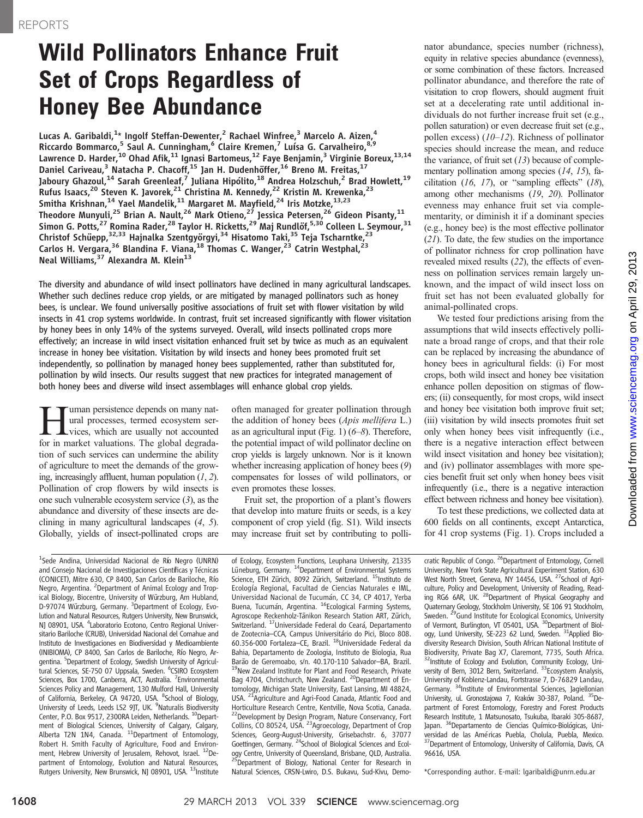# Wild Pollinators Enhance Fruit Set of Crops Regardless of Honey Bee Abundance

Lucas A. Garibaldi, $^{1\star}$  Ingolf Steffan-Dewenter, $^{2}$  Rachael Winfree, $^{3}$  Marcelo A. Aizen, $^{4}$ Riccardo Bommarco,<sup>5</sup> Saul A. Cunningham,<sup>6</sup> Claire Kremen,<sup>7</sup> Luísa G. Carvalheiro,<sup>8,9</sup> Lawrence D. Harder,<sup>10</sup> Ohad Afik,<sup>11</sup> Ignasi Bartomeus,<sup>12</sup> Faye Benjamin,<sup>3</sup> Virginie Boreux,<sup>13,14</sup> Daniel Cariveau,<sup>3</sup> Natacha P. Chacoff,<sup>15</sup> Jan H. Dudenhöffer,<sup>16</sup> Breno M. Freitas,<sup>17</sup> Jaboury Ghazoul, $^{14}$  Sarah Greenleaf, $^7$  Juliana Hipólito, $^{18}$  Andrea Holzschuh, $^2$  Brad Howlett, $^{19}$ Rufus Isaacs,<sup>20</sup> Steven K. Javorek,<sup>21</sup> Christina M. Kennedy,<sup>22</sup> Kristin M. Krewenka,<sup>23</sup> Smitha Krishnan, $^{14}$  Yael Mandelik, $^{11}$  Margaret M. Mayfield, $^{24}$  Iris Motzke, $^{13,23}$ Theodore Munyuli,<sup>25</sup> Brian A. Nault,<sup>26</sup> Mark Otieno,<sup>27</sup> Jessica Petersen,<sup>26</sup> Gideon Pisanty,<sup>11</sup> Simon G. Potts,<sup>27</sup> Romina Rader,<sup>28</sup> Taylor H. Ricketts,<sup>29</sup> Maj Rundlöf,<sup>5,30</sup> Colleen L. Seymour,<sup>31</sup> Christof Schüepp,<sup>32,33</sup> Hajnalka Szentgyörgyi,<sup>34</sup> Hisatomo Taki,<sup>35</sup> Teja Tscharntke,<sup>23</sup> Carlos H. Vergara,<sup>36</sup> Blandina F. Viana,<sup>18</sup> Thomas C. Wanger,<sup>23</sup> Catrin Westphal,<sup>23</sup> Neal Williams,  $37$  Alexandra M. Klein<sup>13</sup>

The diversity and abundance of wild insect pollinators have declined in many agricultural landscapes. Whether such declines reduce crop yields, or are mitigated by managed pollinators such as honey bees, is unclear. We found universally positive associations of fruit set with flower visitation by wild insects in 41 crop systems worldwide. In contrast, fruit set increased significantly with flower visitation by honey bees in only 14% of the systems surveyed. Overall, wild insects pollinated crops more effectively; an increase in wild insect visitation enhanced fruit set by twice as much as an equivalent increase in honey bee visitation. Visitation by wild insects and honey bees promoted fruit set independently, so pollination by managed honey bees supplemented, rather than substituted for, pollination by wild insects. Our results suggest that new practices for integrated management of both honey bees and diverse wild insect assemblages will enhance global crop yields.

**Human persistence depends on many nat-**<br>vices, which are usually not accounted<br>for in market valuations. The global degradaural processes, termed ecosystem serfor in market valuations. The global degradation of such services can undermine the ability of agriculture to meet the demands of the growing, increasingly affluent, human population  $(1, 2)$ . Pollination of crop flowers by wild insects is one such vulnerable ecosystem service  $(3)$ , as the abundance and diversity of these insects are declining in many agricultural landscapes (4, 5). Globally, yields of insect-pollinated crops are

<sup>1</sup>Sede Andina, Universidad Nacional de Río Negro (UNRN) and Consejo Nacional de Investigaciones Científicas y Técnicas (CONICET), Mitre 630, CP 8400, San Carlos de Bariloche, Río Negro, Argentina. <sup>2</sup> Department of Animal Ecology and Tropical Biology, Biocentre, University of Würzburg, Am Hubland, D-97074 Würzburg, Germany. <sup>3</sup> Department of Ecology, Evolution and Natural Resources, Rutgers University, New Brunswick, NJ 08901, USA. <sup>4</sup>Laboratorio Ecotono, Centro Regional Universitario Bariloche (CRUB), Universidad Nacional del Comahue and Instituto de Investigaciones en Biodiversidad y Medioambiente (INIBIOMA), CP 8400, San Carlos de Bariloche, Río Negro, Argentina. <sup>5</sup>Department of Ecology, Swedish University of Agricultural Sciences, SE-750 07 Uppsala, Sweden. <sup>6</sup>CSIRO Ecosystem Sciences, Box 1700, Canberra, ACT, Australia. <sup>7</sup>Environmental Sciences Policy and Management, 130 Mulford Hall, University of California, Berkeley, CA 94720, USA. <sup>8</sup>School of Biology, University of Leeds, Leeds LS2 9JT, UK. <sup>9</sup>Naturalis Biodiversity Center, P.O. Box 9517, 2300RA Leiden, Netherlands. <sup>10</sup>Department of Biological Sciences, University of Calgary, Calgary,<br>Alberta T2N 1N4, Canada. <sup>11</sup>Department of Entomology, Robert H. Smith Faculty of Agriculture, Food and Environment, Hebrew University of Jerusalem, Rehovot, Israel. <sup>12</sup>Department of Entomology, Evolution and Natural Resources, Rutgers University, New Brunswick, NJ 08901, USA. <sup>13</sup>Institute

often managed for greater pollination through the addition of honey bees (Apis mellifera L.) as an agricultural input (Fig. 1)  $(6-8)$ . Therefore, the potential impact of wild pollinator decline on crop yields is largely unknown. Nor is it known whether increasing application of honey bees (9) compensates for losses of wild pollinators, or even promotes these losses.

Fruit set, the proportion of a plant's flowers that develop into mature fruits or seeds, is a key component of crop yield (fig. S1). Wild insects may increase fruit set by contributing to polli-

of Ecology, Ecosystem Functions, Leuphana University, 21335 Lüneburg, Germany. <sup>14</sup>Department of Environmental Systems Science, ETH Zürich, 8092 Zürich, Switzerland. <sup>15</sup>Instituto de Ecología Regional, Facultad de Ciencias Naturales e IML, Universidad Nacional de Tucumán, CC 34, CP 4017, Yerba Buena, Tucumán, Argentina. <sup>16</sup>Ecological Farming Systems, Agroscope Reckenholz-Tänikon Research Station ART, Zürich, Switzerland. 17Universidade Federal do Ceará, Departamento de Zootecnia–CCA, Campus Universitário do Pici, Bloco 808.<br>60.356-000 Fortaleza–CE, Brazil. <sup>18</sup>Universidade Federal da Bahia, Departamento de Zoologia, Instituto de Biologia, Rua Barão de Geremoabo, s/n. 40.170-110 Salvador–BA, Brazil.<br><sup>19</sup>New Zealand Institute for Plant and Food Research, Private Bag 4704, Christchurch, New Zealand. <sup>20</sup>Department of Entomology, Michigan State University, East Lansing, MI 48824,<br>USA. <sup>21</sup>Agriculture and Agri-Food Canada, Atlantic Food and USA. <sup>21</sup>Agriculture and Agri-Food Canada, Atlantic Food and Horticulture Research Centre, Kentville, Nova Scotia, Canada. Horticulture Research Centre, Kentville, Nova Scotia, Canada.<br><sup>22</sup>Development by Design Program, Nature Conservancy, Fort Collins, CO 80524, USA. 23Agroecology, Department of Crop Sciences, Georg-August-University, Grisebachstr. 6, 37077 Goettingen, Germany. <sup>24</sup>School of Biological Sciences and Ecology Centre, University of Queensland, Brisbane, QLD, Australia. 25Department of Biology, National Center for Research in Natural Sciences, CRSN-Lwiro, D.S. Bukavu, Sud-Kivu, Demonator abundance, species number (richness), equity in relative species abundance (evenness), or some combination of these factors. Increased pollinator abundance, and therefore the rate of visitation to crop flowers, should augment fruit set at a decelerating rate until additional individuals do not further increase fruit set (e.g., pollen saturation) or even decrease fruit set (e.g., pollen excess) (10–12). Richness of pollinator species should increase the mean, and reduce the variance, of fruit set  $(13)$  because of complementary pollination among species (14, 15), facilitation  $(16, 17)$ , or "sampling effects"  $(18)$ , among other mechanisms (19, 20). Pollinator evenness may enhance fruit set via complementarity, or diminish it if a dominant species (e.g., honey bee) is the most effective pollinator (21). To date, the few studies on the importance of pollinator richness for crop pollination have revealed mixed results (22), the effects of evenness on pollination services remain largely unknown, and the impact of wild insect loss on fruit set has not been evaluated globally for animal-pollinated crops.

We tested four predictions arising from the assumptions that wild insects effectively pollinate a broad range of crops, and that their role can be replaced by increasing the abundance of honey bees in agricultural fields: (i) For most crops, both wild insect and honey bee visitation enhance pollen deposition on stigmas of flowers; (ii) consequently, for most crops, wild insect and honey bee visitation both improve fruit set; (iii) visitation by wild insects promotes fruit set only when honey bees visit infrequently (i.e., there is a negative interaction effect between wild insect visitation and honey bee visitation); and (iv) pollinator assemblages with more species benefit fruit set only when honey bees visit infrequently (i.e., there is a negative interaction effect between richness and honey bee visitation).

To test these predictions, we collected data at 600 fields on all continents, except Antarctica, for 41 crop systems (Fig. 1). Crops included a

cratic Republic of Congo. <sup>26</sup>Department of Entomology, Cornell University, New York State Agricultural Experiment Station, 630 West North Street, Geneva, NY 14456, USA. <sup>27</sup> School of Agriculture, Policy and Development, University of Reading, Reading RG6 6AR, UK. 28Department of Physical Geography and Quaternary Geology, Stockholm University, SE 106 91 Stockholm,<br>Sweden. <sup>29</sup>Gund Institute for Ecological Economics, University of Vermont, Burlington, VT 05401, USA. <sup>30</sup>Department of Biology, Lund University, SE-223 62 Lund, Sweden. <sup>31</sup>Applied Biodiversity Research Division, South African National Institute of Biodiversity, Private Bag X7, Claremont, 7735, South Africa. <sup>32</sup>Institute of Ecology and Evolution, Community Ecology, University of Bern, 3012 Bern, Switzerland. <sup>33</sup>Ecosystem Analysis, University of Koblenz-Landau, Fortstrasse 7, D-76829 Landau, Germany. <sup>34</sup>Institute of Environmental Sciences, Jagiellonian University, ul. Gronostajowa 7, Kraków 30-387, Poland. <sup>35</sup>Department of Forest Entomology, Forestry and Forest Products Research Institute, 1 Matsunosato, Tsukuba, Ibaraki 305-8687, Japan. 36Departamento de Ciencias Químico-Biológicas, Universidad de las Américas Puebla, Cholula, Puebla, Mexico. <sup>37</sup>Department of Entomology, University of California, Davis, CA 96616, USA.

\*Corresponding author. E-mail: lgaribaldi@unrn.edu.ar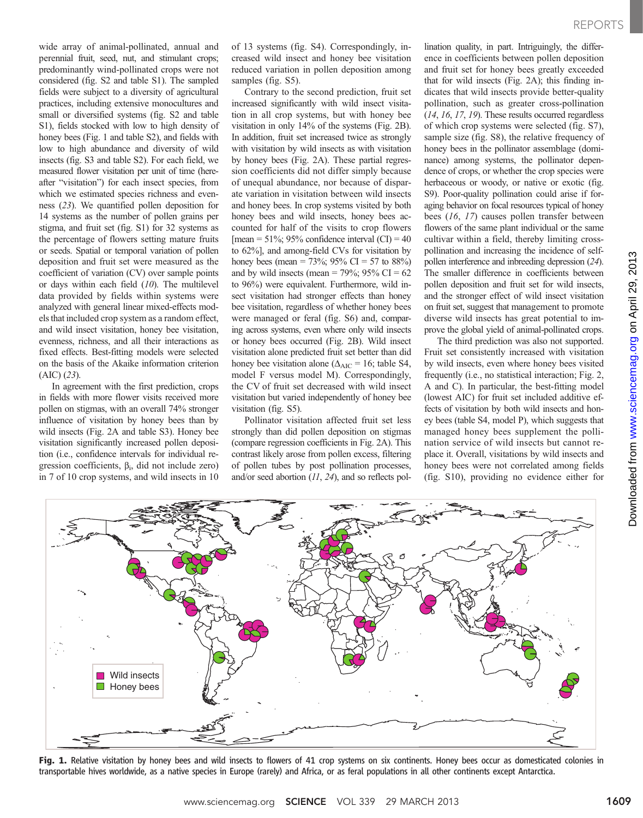wide array of animal-pollinated, annual and perennial fruit, seed, nut, and stimulant crops; predominantly wind-pollinated crops were not considered (fig. S2 and table S1). The sampled fields were subject to a diversity of agricultural practices, including extensive monocultures and small or diversified systems (fig. S2 and table S1), fields stocked with low to high density of honey bees (Fig. 1 and table S2), and fields with low to high abundance and diversity of wild insects (fig. S3 and table S2). For each field, we measured flower visitation per unit of time (hereafter "visitation") for each insect species, from which we estimated species richness and evenness (23). We quantified pollen deposition for 14 systems as the number of pollen grains per stigma, and fruit set (fig. S1) for 32 systems as the percentage of flowers setting mature fruits or seeds. Spatial or temporal variation of pollen deposition and fruit set were measured as the coefficient of variation (CV) over sample points or days within each field  $(10)$ . The multilevel data provided by fields within systems were analyzed with general linear mixed-effects models that included crop system as a random effect, and wild insect visitation, honey bee visitation, evenness, richness, and all their interactions as fixed effects. Best-fitting models were selected on the basis of the Akaike information criterion (AIC) (23).

In agreement with the first prediction, crops in fields with more flower visits received more pollen on stigmas, with an overall 74% stronger influence of visitation by honey bees than by wild insects (Fig. 2A and table S3). Honey bee visitation significantly increased pollen deposition (i.e., confidence intervals for individual regression coefficients,  $\beta_i$ , did not include zero) in 7 of 10 crop systems, and wild insects in 10

of 13 systems (fig. S4). Correspondingly, increased wild insect and honey bee visitation reduced variation in pollen deposition among samples (fig. S5).

Contrary to the second prediction, fruit set increased significantly with wild insect visitation in all crop systems, but with honey bee visitation in only 14% of the systems (Fig. 2B). In addition, fruit set increased twice as strongly with visitation by wild insects as with visitation by honey bees (Fig. 2A). These partial regression coefficients did not differ simply because of unequal abundance, nor because of disparate variation in visitation between wild insects and honey bees. In crop systems visited by both honey bees and wild insects, honey bees accounted for half of the visits to crop flowers [mean =  $51\%$ ; 95% confidence interval (CI) = 40 to 62%], and among-field CVs for visitation by honey bees (mean = 73%; 95% CI = 57 to 88%) and by wild insects (mean =  $79\%$ ;  $95\%$  CI = 62 to 96%) were equivalent. Furthermore, wild insect visitation had stronger effects than honey bee visitation, regardless of whether honey bees were managed or feral (fig. S6) and, comparing across systems, even where only wild insects or honey bees occurred (Fig. 2B). Wild insect visitation alone predicted fruit set better than did honey bee visitation alone ( $\Delta_{AIC}$  = 16; table S4, model F versus model M). Correspondingly, the CV of fruit set decreased with wild insect visitation but varied independently of honey bee visitation (fig. S5).

Pollinator visitation affected fruit set less strongly than did pollen deposition on stigmas (compare regression coefficients in Fig. 2A). This contrast likely arose from pollen excess, filtering of pollen tubes by post pollination processes, and/or seed abortion (11, 24), and so reflects pollination quality, in part. Intriguingly, the difference in coefficients between pollen deposition and fruit set for honey bees greatly exceeded that for wild insects (Fig. 2A); this finding indicates that wild insects provide better-quality pollination, such as greater cross-pollination (14, 16, 17, 19). These results occurred regardless of which crop systems were selected (fig. S7), sample size (fig. S8), the relative frequency of honey bees in the pollinator assemblage (dominance) among systems, the pollinator dependence of crops, or whether the crop species were herbaceous or woody, or native or exotic (fig. S9). Poor-quality pollination could arise if foraging behavior on focal resources typical of honey bees (16, 17) causes pollen transfer between flowers of the same plant individual or the same cultivar within a field, thereby limiting crosspollination and increasing the incidence of selfpollen interference and inbreeding depression (24). The smaller difference in coefficients between pollen deposition and fruit set for wild insects, and the stronger effect of wild insect visitation on fruit set, suggest that management to promote diverse wild insects has great potential to improve the global yield of animal-pollinated crops.

The third prediction was also not supported. Fruit set consistently increased with visitation by wild insects, even where honey bees visited frequently (i.e., no statistical interaction; Fig. 2, A and C). In particular, the best-fitting model (lowest AIC) for fruit set included additive effects of visitation by both wild insects and honey bees (table S4, model P), which suggests that managed honey bees supplement the pollination service of wild insects but cannot replace it. Overall, visitations by wild insects and honey bees were not correlated among fields (fig. S10), providing no evidence either for





Fig. 1. Relative visitation by honey bees and wild insects to flowers of 41 crop systems on six continents. Honey bees occur as domesticated colonies in transportable hives worldwide, as a native species in Europe (rarely) and Africa, or as feral populations in all other continents except Antarctica.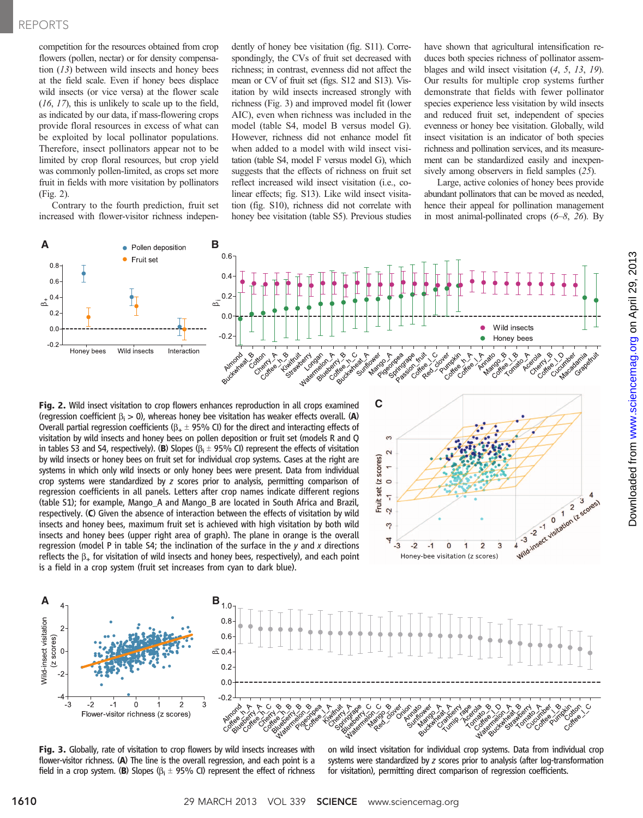### REPORTS

competition for the resources obtained from crop flowers (pollen, nectar) or for density compensation (13) between wild insects and honey bees at the field scale. Even if honey bees displace wild insects (or vice versa) at the flower scale (16, 17), this is unlikely to scale up to the field, as indicated by our data, if mass-flowering crops provide floral resources in excess of what can be exploited by local pollinator populations. Therefore, insect pollinators appear not to be limited by crop floral resources, but crop yield was commonly pollen-limited, as crops set more fruit in fields with more visitation by pollinators (Fig. 2).

Contrary to the fourth prediction, fruit set increased with flower-visitor richness independently of honey bee visitation (fig. S11). Correspondingly, the CVs of fruit set decreased with richness; in contrast, evenness did not affect the mean or CV of fruit set (figs. S12 and S13). Visitation by wild insects increased strongly with richness (Fig. 3) and improved model fit (lower AIC), even when richness was included in the model (table S4, model B versus model G). However, richness did not enhance model fit when added to a model with wild insect visitation (table S4, model F versus model G), which suggests that the effects of richness on fruit set reflect increased wild insect visitation (i.e., colinear effects; fig. S13). Like wild insect visitation (fig. S10), richness did not correlate with honey bee visitation (table S5). Previous studies

have shown that agricultural intensification reduces both species richness of pollinator assemblages and wild insect visitation (4, 5, 13, 19). Our results for multiple crop systems further demonstrate that fields with fewer pollinator species experience less visitation by wild insects and reduced fruit set, independent of species evenness or honey bee visitation. Globally, wild insect visitation is an indicator of both species richness and pollination services, and its measurement can be standardized easily and inexpensively among observers in field samples (25).

Large, active colonies of honey bees provide abundant pollinators that can be moved as needed, hence their appeal for pollination management in most animal-pollinated crops  $(6-8, 26)$ . By



Fig. 2. Wild insect visitation to crop flowers enhances reproduction in all crops examined (regression coefficient  $\beta_i > 0$ ), whereas honey bee visitation has weaker effects overall. (A) Overall partial regression coefficients ( $\beta_{+} \pm 95\%$  CI) for the direct and interacting effects of visitation by wild insects and honey bees on pollen deposition or fruit set (models R and Q in tables S3 and S4, respectively). (B) Slopes ( $\beta_i \pm 95\%$  CI) represent the effects of visitation by wild insects or honey bees on fruit set for individual crop systems. Cases at the right are systems in which only wild insects or only honey bees were present. Data from individual crop systems were standardized by z scores prior to analysis, permitting comparison of regression coefficients in all panels. Letters after crop names indicate different regions (table S1); for example, Mango\_A and Mango\_B are located in South Africa and Brazil, respectively. (C) Given the absence of interaction between the effects of visitation by wild insects and honey bees, maximum fruit set is achieved with high visitation by both wild insects and honey bees (upper right area of graph). The plane in orange is the overall regression (model P in table S4; the inclination of the surface in the  $y$  and  $x$  directions reflects the  $\beta_+$  for visitation of wild insects and honey bees, respectively), and each point is a field in a crop system (fruit set increases from cyan to dark blue).





Fig. 3. Globally, rate of visitation to crop flowers by wild insects increases with flower-visitor richness. (A) The line is the overall regression, and each point is a field in a crop system. (B) Slopes ( $\beta$ <sub>i</sub>  $\pm$  95% CI) represent the effect of richness

on wild insect visitation for individual crop systems. Data from individual crop systems were standardized by z scores prior to analysis (after log-transformation for visitation), permitting direct comparison of regression coefficients.